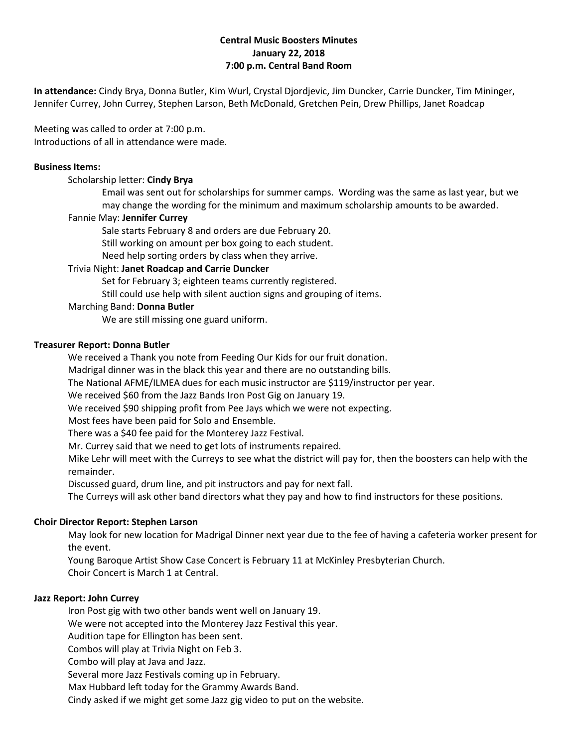# **Central Music Boosters Minutes January 22, 2018 7:00 p.m. Central Band Room**

**In attendance:** Cindy Brya, Donna Butler, Kim Wurl, Crystal Djordjevic, Jim Duncker, Carrie Duncker, Tim Mininger, Jennifer Currey, John Currey, Stephen Larson, Beth McDonald, Gretchen Pein, Drew Phillips, Janet Roadcap

Meeting was called to order at 7:00 p.m. Introductions of all in attendance were made.

#### **Business Items:**

Scholarship letter: **Cindy Brya**

Email was sent out for scholarships for summer camps. Wording was the same as last year, but we may change the wording for the minimum and maximum scholarship amounts to be awarded.

#### Fannie May: **Jennifer Currey**

Sale starts February 8 and orders are due February 20.

Still working on amount per box going to each student.

Need help sorting orders by class when they arrive.

## Trivia Night: **Janet Roadcap and Carrie Duncker**

Set for February 3; eighteen teams currently registered.

Still could use help with silent auction signs and grouping of items.

## Marching Band: **Donna Butler**

We are still missing one guard uniform.

## **Treasurer Report: Donna Butler**

We received a Thank you note from Feeding Our Kids for our fruit donation.

Madrigal dinner was in the black this year and there are no outstanding bills.

The National AFME/ILMEA dues for each music instructor are \$119/instructor per year.

We received \$60 from the Jazz Bands Iron Post Gig on January 19.

We received \$90 shipping profit from Pee Jays which we were not expecting.

Most fees have been paid for Solo and Ensemble.

There was a \$40 fee paid for the Monterey Jazz Festival.

Mr. Currey said that we need to get lots of instruments repaired.

Mike Lehr will meet with the Curreys to see what the district will pay for, then the boosters can help with the remainder.

Discussed guard, drum line, and pit instructors and pay for next fall.

The Curreys will ask other band directors what they pay and how to find instructors for these positions.

## **Choir Director Report: Stephen Larson**

May look for new location for Madrigal Dinner next year due to the fee of having a cafeteria worker present for the event.

Young Baroque Artist Show Case Concert is February 11 at McKinley Presbyterian Church. Choir Concert is March 1 at Central.

## **Jazz Report: John Currey**

Iron Post gig with two other bands went well on January 19.

We were not accepted into the Monterey Jazz Festival this year.

Audition tape for Ellington has been sent.

Combos will play at Trivia Night on Feb 3.

Combo will play at Java and Jazz.

Several more Jazz Festivals coming up in February.

Max Hubbard left today for the Grammy Awards Band.

Cindy asked if we might get some Jazz gig video to put on the website.